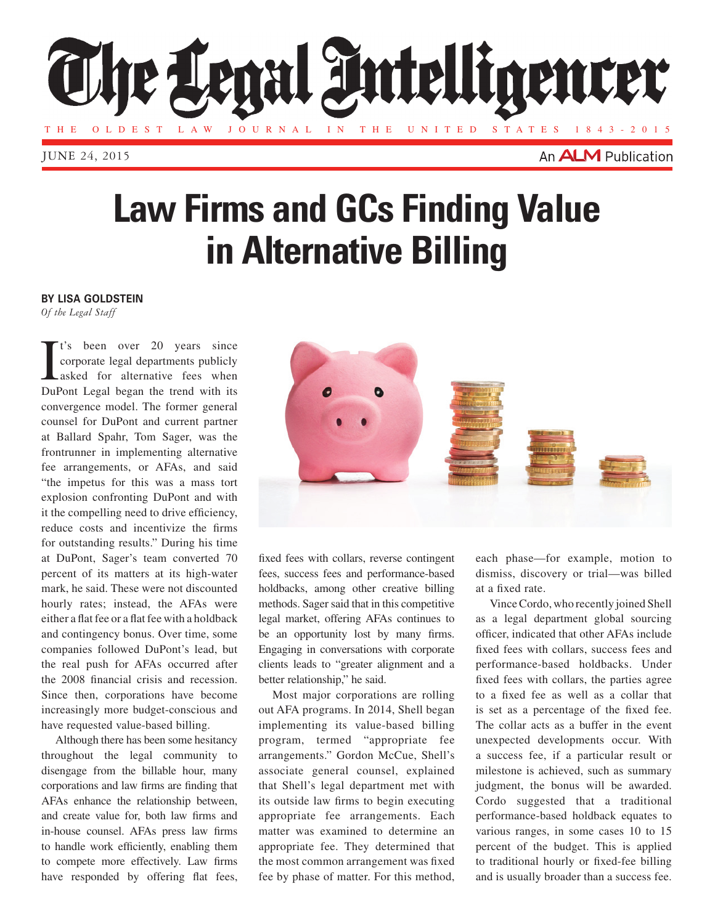

JUNE 24, 2015

An **ALM** Publication

## **Law Firms and GCs Finding Value in Alternative Billing**

## **BY LISA GOLDSTEIN**

*Of the Legal Staff*

It's been over 20 years since<br>corporate legal departments publicly<br>asked for alternative fees when<br>DuPont Legal began the trend with its t's been over 20 years since corporate legal departments publicly asked for alternative fees when convergence model. The former general counsel for DuPont and current partner at Ballard Spahr, Tom Sager, was the frontrunner in implementing alternative fee arrangements, or AFAs, and said "the impetus for this was a mass tort explosion confronting DuPont and with it the compelling need to drive efficiency, reduce costs and incentivize the firms for outstanding results." During his time at DuPont, Sager's team converted 70 percent of its matters at its high-water mark, he said. These were not discounted hourly rates; instead, the AFAs were either a flat fee or a flat fee with a holdback and contingency bonus. Over time, some companies followed DuPont's lead, but the real push for AFAs occurred after the 2008 financial crisis and recession. Since then, corporations have become increasingly more budget-conscious and have requested value-based billing.

Although there has been some hesitancy throughout the legal community to disengage from the billable hour, many corporations and law firms are finding that AFAs enhance the relationship between, and create value for, both law firms and in-house counsel. AFAs press law firms to handle work efficiently, enabling them to compete more effectively. Law firms have responded by offering flat fees,



fixed fees with collars, reverse contingent fees, success fees and performance-based holdbacks, among other creative billing methods. Sager said that in this competitive legal market, offering AFAs continues to be an opportunity lost by many firms. Engaging in conversations with corporate clients leads to "greater alignment and a better relationship," he said.

Most major corporations are rolling out AFA programs. In 2014, Shell began implementing its value-based billing program, termed "appropriate fee arrangements." Gordon McCue, Shell's associate general counsel, explained that Shell's legal department met with its outside law firms to begin executing appropriate fee arrangements. Each matter was examined to determine an appropriate fee. They determined that the most common arrangement was fixed fee by phase of matter. For this method, each phase—for example, motion to dismiss, discovery or trial—was billed at a fixed rate.

Vince Cordo, who recently joined Shell as a legal department global sourcing officer, indicated that other AFAs include fixed fees with collars, success fees and performance-based holdbacks. Under fixed fees with collars, the parties agree to a fixed fee as well as a collar that is set as a percentage of the fixed fee. The collar acts as a buffer in the event unexpected developments occur. With a success fee, if a particular result or milestone is achieved, such as summary judgment, the bonus will be awarded. Cordo suggested that a traditional performance-based holdback equates to various ranges, in some cases 10 to 15 percent of the budget. This is applied to traditional hourly or fixed-fee billing and is usually broader than a success fee.